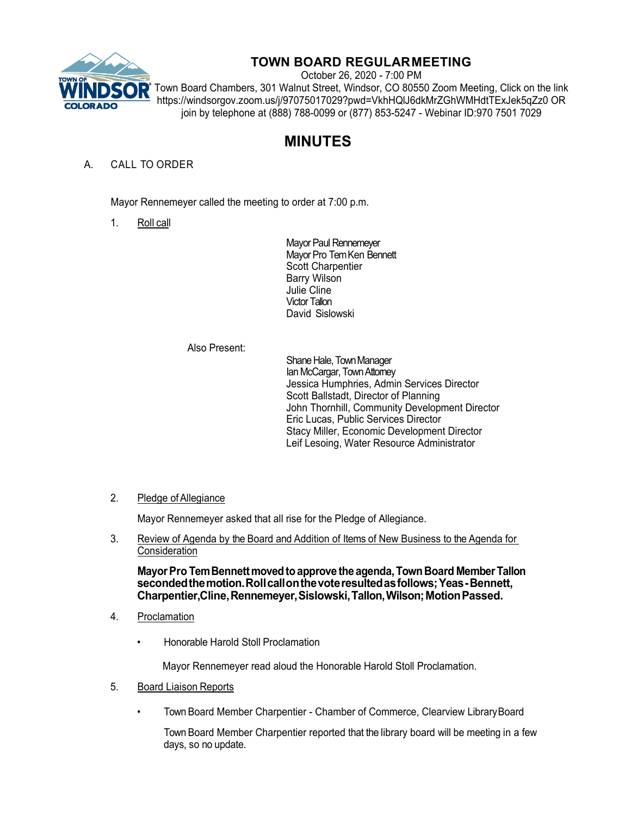

## **TOWN BOARD REGULARMEETING**

October 26, 2020 - 7:00 PM Town Board Chambers, 301 Walnut Street, Windsor, CO 80550 Zoom Meeting, Click on the link https://windsorgov.zoom.us/j/97075017029?pwd=VkhHQlJ6dkMrZGhWMHdtTExJek5qZz0 OR join by telephone at (888) 788-0099 or (877) 853-5247 - Webinar ID:970 7501 7029

# **MINUTES**

## A. CALL TO ORDER

Mayor Rennemeyer called the meeting to order at 7:00 p.m.

1. Roll call

Mayor Paul Rennemeyer Mayor Pro Tem Ken Bennett Scott Charpentier Barry Wilson Julie Cline Victor Tallon David Sislowski

#### Also Present:

Shane Hale, Town Manager Ian McCargar, Town Attorney Jessica Humphries, Admin Services Director Scott Ballstadt, Director of Planning John Thornhill, Community Development Director Eric Lucas, Public Services Director Stacy Miller, Economic Development Director Leif Lesoing, Water Resource Administrator

### 2. Pledge of Allegiance

Mayor Rennemeyer asked that all rise for the Pledge of Allegiance.

3. Review of Agenda by the Board and Addition of Items of New Business to the Agenda for **Consideration** 

**MayorPro TemBennettmovedtoapprove the agenda,TownBoard MemberTallon secondedthemotion.Rollcallonthevoteresultedasfollows;Yeas-Bennett, Charpentier,Cline,Rennemeyer,Sislowski,Tallon,Wilson;MotionPassed.**

- 4. Proclamation
	- Honorable Harold Stoll Proclamation

Mayor Rennemeyer read aloud the Honorable Harold Stoll Proclamation.

- 5. Board Liaison Reports
	- Town Board Member Charpentier Chamber of Commerce, Clearview LibraryBoard

Town Board Member Charpentier reported that the library board will be meeting in a few days, so no update.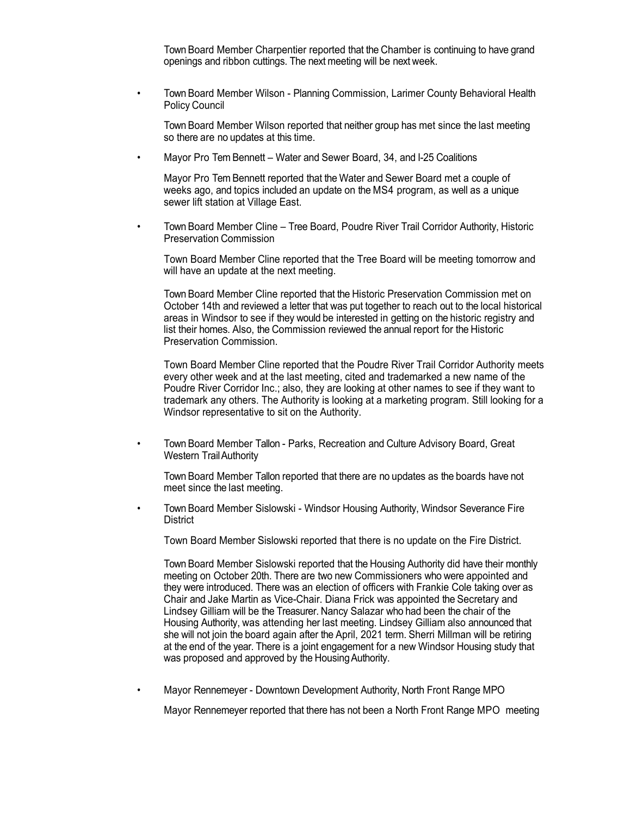Town Board Member Charpentier reported that the Chamber is continuing to have grand openings and ribbon cuttings. The next meeting will be next week.

• Town Board Member Wilson - Planning Commission, Larimer County Behavioral Health Policy Council

Town Board Member Wilson reported that neither group has met since the last meeting so there are no updates at this time.

• Mayor Pro Tem Bennett – Water and Sewer Board, 34, and I-25 Coalitions

Mayor Pro Tem Bennett reported that the Water and Sewer Board met a couple of weeks ago, and topics included an update on the MS4 program, as well as a unique sewer lift station at Village East.

• Town Board Member Cline – Tree Board, Poudre River Trail Corridor Authority, Historic Preservation Commission

Town Board Member Cline reported that the Tree Board will be meeting tomorrow and will have an update at the next meeting.

Town Board Member Cline reported that the Historic Preservation Commission met on October 14th and reviewed a letter that was put together to reach out to the local historical areas in Windsor to see if they would be interested in getting on the historic registry and list their homes. Also, the Commission reviewed the annual report for the Historic Preservation Commission.

Town Board Member Cline reported that the Poudre River Trail Corridor Authority meets every other week and at the last meeting, cited and trademarked a new name of the Poudre River Corridor Inc.; also, they are looking at other names to see if they want to trademark any others. The Authority is looking at a marketing program. Still looking for a Windsor representative to sit on the Authority.

• Town Board Member Tallon - Parks, Recreation and Culture Advisory Board, Great Western TrailAuthority

Town Board Member Tallon reported that there are no updates as the boards have not meet since the last meeting.

• Town Board Member Sislowski - Windsor Housing Authority, Windsor Severance Fire **District** 

Town Board Member Sislowski reported that there is no update on the Fire District.

Town Board Member Sislowski reported that the Housing Authority did have their monthly meeting on October 20th. There are two new Commissioners who were appointed and they were introduced. There was an election of officers with Frankie Cole taking over as Chair and Jake Martin as Vice-Chair. Diana Frick was appointed the Secretary and Lindsey Gilliam will be the Treasurer. Nancy Salazar who had been the chair of the Housing Authority, was attending her last meeting. Lindsey Gilliam also announced that she will not join the board again after the April, 2021 term. Sherri Millman will be retiring at the end of the year. There is a joint engagement for a new Windsor Housing study that was proposed and approved by the Housing Authority.

• Mayor Rennemeyer - Downtown Development Authority, North Front Range MPO

Mayor Rennemeyer reported that there has not been a North Front Range MPO meeting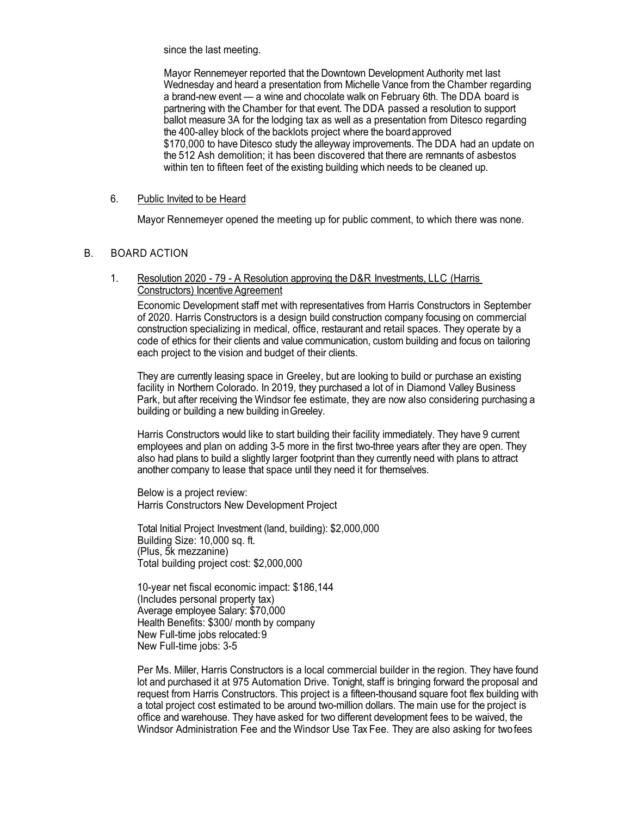since the last meeting.

Mayor Rennemeyer reported that the Downtown Development Authority met last Wednesday and heard a presentation from Michelle Vance from the Chamber regarding a brand-new event — a wine and chocolate walk on February 6th. The DDA board is partnering with the Chamber for that event. The DDA passed a resolution to support ballot measure 3A for the lodging tax as well as a presentation from Ditesco regarding the 400-alley block of the backlots project where the boardapproved \$170,000 to have Ditesco study the alleyway improvements. The DDA had an update on the 512 Ash demolition; it has been discovered that there are remnants of asbestos within ten to fifteen feet of the existing building which needs to be cleaned up.

#### 6. Public Invited to be Heard

Mayor Rennemeyer opened the meeting up for public comment, to which there was none.

#### B. BOARD ACTION

#### 1. Resolution 2020 - 79 - A Resolution approving the D&R Investments, LLC (Harris Constructors) Incentive Agreement

Economic Development staff met with representatives from Harris Constructors in September of 2020. Harris Constructors is a design build construction company focusing on commercial construction specializing in medical, office, restaurant and retail spaces. They operate by a code of ethics for their clients and value communication, custom building and focus on tailoring each project to the vision and budget of their clients.

They are currently leasing space in Greeley, but are looking to build or purchase an existing facility in Northern Colorado. In 2019, they purchased a lot of in Diamond Valley Business Park, but after receiving the Windsor fee estimate, they are now also considering purchasing a building or building a new building inGreeley.

Harris Constructors would like to start building their facility immediately. They have 9 current employees and plan on adding 3-5 more in the first two-three years after they are open. They also had plans to build a slightly larger footprint than they currently need with plans to attract another company to lease that space until they need it for themselves.

Below is a project review: Harris Constructors New Development Project

Total Initial Project Investment (land, building): \$2,000,000 Building Size: 10,000 sq. ft. (Plus, 5k mezzanine) Total building project cost: \$2,000,000

10-year net fiscal economic impact: \$186,144 (Includes personal property tax) Average employee Salary: \$70,000 Health Benefits: \$300/ month by company New Full-time jobs relocated:9 New Full-time jobs: 3-5

Per Ms. Miller, Harris Constructors is a local commercial builder in the region. They have found lot and purchased it at 975 Automation Drive. Tonight, staff is bringing forward the proposal and request from Harris Constructors. This project is a fifteen-thousand square foot flex building with a total project cost estimated to be around two-million dollars. The main use for the project is office and warehouse. They have asked for two different development fees to be waived, the Windsor Administration Fee and the Windsor Use Tax Fee. They are also asking for twofees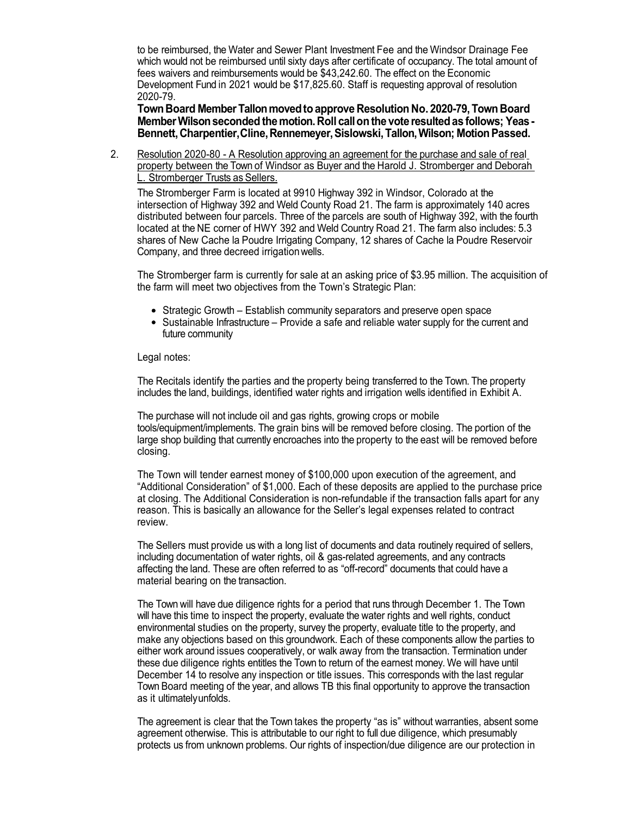to be reimbursed, the Water and Sewer Plant Investment Fee and the Windsor Drainage Fee which would not be reimbursed until sixty days after certificate of occupancy. The total amount of fees waivers and reimbursements would be \$43,242.60. The effect on the Economic Development Fund in 2021 would be \$17,825.60. Staff is requesting approval of resolution 2020-79.

**TownBoard MemberTallonmovedtoapprove Resolution No. 2020-79,Town Board MemberWilsonseconded themotion. Roll callonthe vote resultedas follows; Yeas-Bennett,Charpentier,Cline,Rennemeyer,Sislowski,Tallon,Wilson; MotionPassed.**

2. Resolution 2020-80 - A Resolution approving an agreement for the purchase and sale of real property between the Town of Windsor as Buyer and the Harold J. Stromberger and Deborah L. Stromberger Trusts as Sellers.

The Stromberger Farm is located at 9910 Highway 392 in Windsor, Colorado at the intersection of Highway 392 and Weld County Road 21. The farm is approximately 140 acres distributed between four parcels. Three of the parcels are south of Highway 392, with the fourth located at the NE corner of HWY 392 and Weld Country Road 21. The farm also includes: 5.3 shares of New Cache la Poudre Irrigating Company, 12 shares of Cache la Poudre Reservoir Company, and three decreed irrigationwells.

The Stromberger farm is currently for sale at an asking price of \$3.95 million. The acquisition of the farm will meet two objectives from the Town's Strategic Plan:

- Strategic Growth Establish community separators and preserve open space
- Sustainable Infrastructure Provide a safe and reliable water supply for the current and future community

#### Legal notes:

The Recitals identify the parties and the property being transferred to the Town. The property includes the land, buildings, identified water rights and irrigation wells identified in Exhibit A.

The purchase will not include oil and gas rights, growing crops or mobile tools/equipment/implements. The grain bins will be removed before closing. The portion of the large shop building that currently encroaches into the property to the east will be removed before closing.

The Town will tender earnest money of \$100,000 upon execution of the agreement, and "Additional Consideration" of \$1,000. Each of these deposits are applied to the purchase price at closing. The Additional Consideration is non-refundable if the transaction falls apart for any reason. This is basically an allowance for the Seller's legal expenses related to contract review.

The Sellers must provide us with a long list of documents and data routinely required of sellers, including documentation of water rights, oil & gas-related agreements, and any contracts affecting the land. These are often referred to as "off-record" documents that could have a material bearing on the transaction.

The Town will have due diligence rights for a period that runs through December 1. The Town will have this time to inspect the property, evaluate the water rights and well rights, conduct environmental studies on the property, survey the property, evaluate title to the property, and make any objections based on this groundwork. Each of these components allow the parties to either work around issues cooperatively, or walk away from the transaction. Termination under these due diligence rights entitles the Town to return of the earnest money. We will have until December 14 to resolve any inspection or title issues. This corresponds with the last regular Town Board meeting of the year, and allows TB this final opportunity to approve the transaction as it ultimatelyunfolds.

The agreement is clear that the Town takes the property "as is" without warranties, absent some agreement otherwise. This is attributable to our right to full due diligence, which presumably protects us from unknown problems. Our rights of inspection/due diligence are our protection in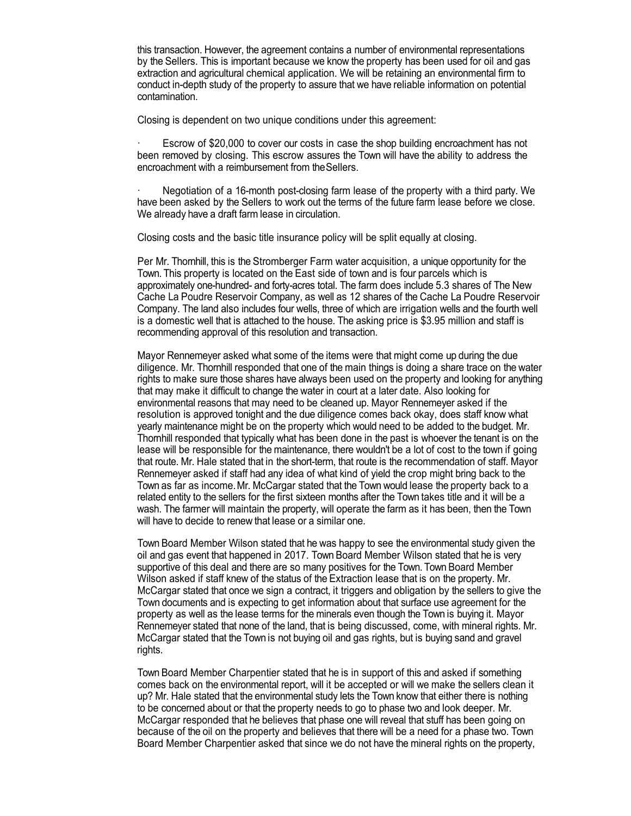this transaction. However, the agreement contains a number of environmental representations by the Sellers. This is important because we know the property has been used for oil and gas extraction and agricultural chemical application. We will be retaining an environmental firm to conduct in-depth study of the property to assure that we have reliable information on potential contamination.

Closing is dependent on two unique conditions under this agreement:

Escrow of \$20,000 to cover our costs in case the shop building encroachment has not been removed by closing. This escrow assures the Town will have the ability to address the encroachment with a reimbursement from theSellers.

· Negotiation of a 16-month post-closing farm lease of the property with a third party. We have been asked by the Sellers to work out the terms of the future farm lease before we close. We already have a draft farm lease in circulation.

Closing costs and the basic title insurance policy will be split equally at closing.

Per Mr. Thornhill, this is the Stromberger Farm water acquisition, a unique opportunity for the Town. This property is located on the East side of town and is four parcels which is approximately one-hundred- and forty-acres total. The farm does include 5.3 shares of The New Cache La Poudre Reservoir Company, as well as 12 shares of the Cache La Poudre Reservoir Company. The land also includes four wells, three of which are irrigation wells and the fourth well is a domestic well that is attached to the house. The asking price is \$3.95 million and staff is recommending approval of this resolution and transaction.

Mayor Rennemeyer asked what some of the items were that might come up during the due diligence. Mr. Thornhill responded that one of the main things is doing a share trace on the water rights to make sure those shares have always been used on the property and looking for anything that may make it difficult to change the water in court at a later date. Also looking for environmental reasons that may need to be cleaned up. Mayor Rennemeyer asked if the resolution is approved tonight and the due diligence comes back okay, does staff know what yearly maintenance might be on the property which would need to be added to the budget. Mr. Thornhill responded that typically what has been done in the past is whoever the tenant is on the lease will be responsible for the maintenance, there wouldn't be a lot of cost to the town if going that route. Mr. Hale stated that in the short-term, that route is the recommendation of staff. Mayor Rennemeyer asked if staff had any idea of what kind of yield the crop might bring back to the Town as far as income.Mr. McCargar stated that the Town would lease the property back to a related entity to the sellers for the first sixteen months after the Town takes title and it will be a wash. The farmer will maintain the property, will operate the farm as it has been, then the Town will have to decide to renew that lease or a similar one.

Town Board Member Wilson stated that he was happy to see the environmental study given the oil and gas event that happened in 2017. Town Board Member Wilson stated that he is very supportive of this deal and there are so many positives for the Town. Town Board Member Wilson asked if staff knew of the status of the Extraction lease that is on the property. Mr. McCargar stated that once we sign a contract, it triggers and obligation by the sellers to give the Town documents and is expecting to get information about that surface use agreement for the property as well as the lease terms for the minerals even though the Town is buying it. Mayor Rennemeyer stated that none of the land, that is being discussed, come, with mineral rights. Mr. McCargar stated that the Town is not buying oil and gas rights, but is buying sand and gravel rights.

Town Board Member Charpentier stated that he is in support of this and asked if something comes back on the environmental report, will it be accepted or will we make the sellers clean it up? Mr. Hale stated that the environmental study lets the Town know that either there is nothing to be concerned about or that the property needs to go to phase two and look deeper. Mr. McCargar responded that he believes that phase one will reveal that stuff has been going on because of the oil on the property and believes that there will be a need for a phase two. Town Board Member Charpentier asked that since we do not have the mineral rights on the property,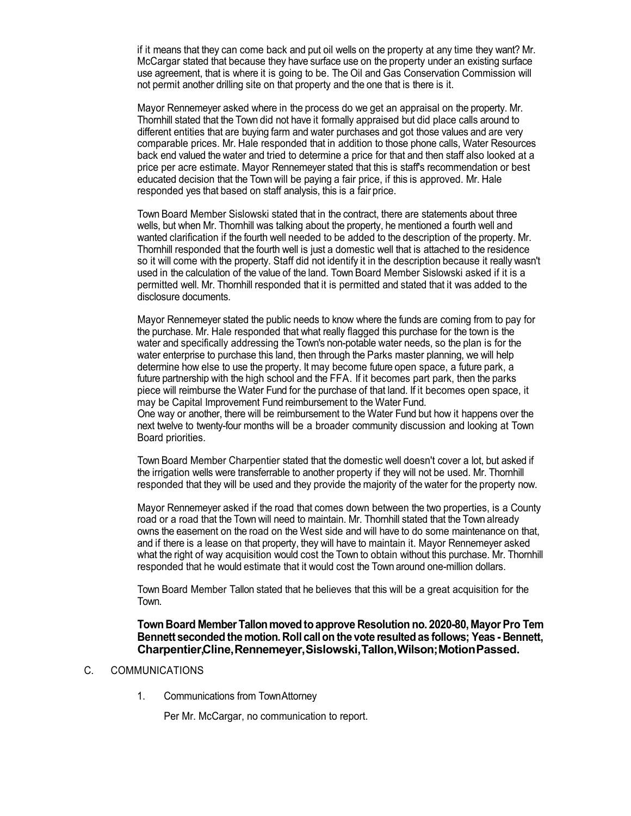if it means that they can come back and put oil wells on the property at any time they want? Mr. McCargar stated that because they have surface use on the property under an existing surface use agreement, that is where it is going to be. The Oil and Gas Conservation Commission will not permit another drilling site on that property and the one that is there is it.

Mayor Rennemeyer asked where in the process do we get an appraisal on the property. Mr. Thornhill stated that the Town did not have it formally appraised but did place calls around to different entities that are buying farm and water purchases and got those values and are very comparable prices. Mr. Hale responded that in addition to those phone calls, Water Resources back end valued the water and tried to determine a price for that and then staff also looked at a price per acre estimate. Mayor Rennemeyer stated that this is staff's recommendation or best educated decision that the Town will be paying a fair price, if this is approved. Mr. Hale responded yes that based on staff analysis, this is a fair price.

Town Board Member Sislowski stated that in the contract, there are statements about three wells, but when Mr. Thornhill was talking about the property, he mentioned a fourth well and wanted clarification if the fourth well needed to be added to the description of the property. Mr. Thornhill responded that the fourth well is just a domestic well that is attached to the residence so it will come with the property. Staff did not identify it in the description because it really wasn't used in the calculation of the value of the land. Town Board Member Sislowski asked if it is a permitted well. Mr. Thornhill responded that it is permitted and stated that it was added to the disclosure documents.

Mayor Rennemeyer stated the public needs to know where the funds are coming from to pay for the purchase. Mr. Hale responded that what really flagged this purchase for the town is the water and specifically addressing the Town's non-potable water needs, so the plan is for the water enterprise to purchase this land, then through the Parks master planning, we will help determine how else to use the property. It may become future open space, a future park, a future partnership with the high school and the FFA. If it becomes part park, then the parks piece will reimburse the Water Fund for the purchase of that land. If it becomes open space, it may be Capital Improvement Fund reimbursement to the Water Fund.

One way or another, there will be reimbursement to the Water Fund but how it happens over the next twelve to twenty-four months will be a broader community discussion and looking at Town Board priorities.

Town Board Member Charpentier stated that the domestic well doesn't cover a lot, but asked if the irrigation wells were transferrable to another property if they will not be used. Mr. Thornhill responded that they will be used and they provide the majority of the water for the property now.

Mayor Rennemeyer asked if the road that comes down between the two properties, is a County road or a road that the Town will need to maintain. Mr. Thornhill stated that the Town already owns the easement on the road on the West side and will have to do some maintenance on that, and if there is a lease on that property, they will have to maintain it. Mayor Rennemeyer asked what the right of way acquisition would cost the Town to obtain without this purchase. Mr. Thornhill responded that he would estimate that it would cost the Town around one-million dollars.

Town Board Member Tallon stated that he believes that this will be a great acquisition for the Town.

#### **Town Board Member Tallonmovedtoapprove Resolution no. 2020-80, MayorPro Tem Bennett seconded the motion. Roll callon the vote resultedas follows; Yeas - Bennett, Charpentier,Cline,Rennemeyer,Sislowski,Tallon,Wilson;MotionPassed.**

#### C. COMMUNICATIONS

1. Communications from TownAttorney

Per Mr. McCargar, no communication to report.